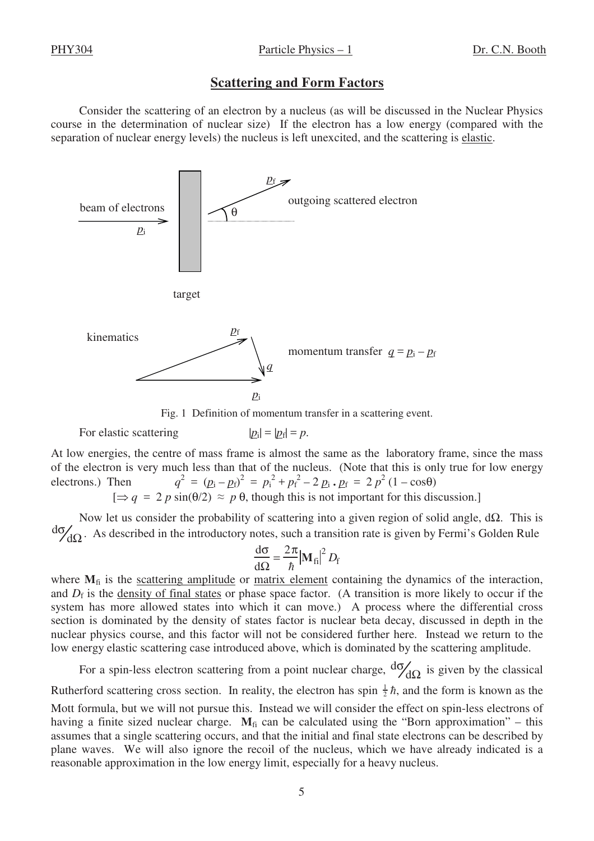## **Scattering and Form Factors**

Consider the scattering of an electron by a nucleus (as will be discussed in the Nuclear Physics course in the determination of nuclear size) If the electron has a low energy (compared with the separation of nuclear energy levels) the nucleus is left unexcited, and the scattering is elastic.



Fig. 1 Definition of momentum transfer in a scattering event.

For elastic scattering 
$$
|p_i| = |p_f| = p
$$
.

At low energies, the centre of mass frame is almost the same as the laboratory frame, since the mass of the electron is very much less than that of the nucleus. (Note that this is only true for low energy electrons.) Then  $q^2 = (p_i - p_f)^2 = p_i^2 + p_f^2 - 2 p_i \cdot p_f = 2 p^2 (1 - \cos \theta)$  $[\Rightarrow q = 2 p \sin(\theta/2) \approx p \theta$ , though this is not important for this discussion.]

Now let us consider the probability of scattering into a given region of solid angle, dΩ. This is dσ  $d\Omega$ . As described in the introductory notes, such a transition rate is given by Fermi's Golden Rule

$$
\frac{\mathrm{d}\sigma}{\mathrm{d}\Omega} = \frac{2\pi}{\hbar} |\mathbf{M}_{\rm fi}|^2 D_{\rm f}
$$

where  $M_{fi}$  is the scattering amplitude or matrix element containing the dynamics of the interaction, and  $D_f$  is the <u>density of final states</u> or phase space factor. (A transition is more likely to occur if the system has more allowed states into which it can move.) A process where the differential cross section is dominated by the density of states factor is nuclear beta decay, discussed in depth in the nuclear physics course, and this factor will not be considered further here. Instead we return to the low energy elastic scattering case introduced above, which is dominated by the scattering amplitude.

For a spin-less electron scattering from a point nuclear charge,  $d\sigma/d\Omega$  is given by the classical Rutherford scattering cross section. In reality, the electron has spin  $\frac{1}{2}\hbar$ , and the form is known as the Mott formula, but we will not pursue this. Instead we will consider the effect on spin-less electrons of having a finite sized nuclear charge.  $M<sub>fi</sub>$  can be calculated using the "Born approximation" – this assumes that a single scattering occurs, and that the initial and final state electrons can be described by plane waves. We will also ignore the recoil of the nucleus, which we have already indicated is a reasonable approximation in the low energy limit, especially for a heavy nucleus.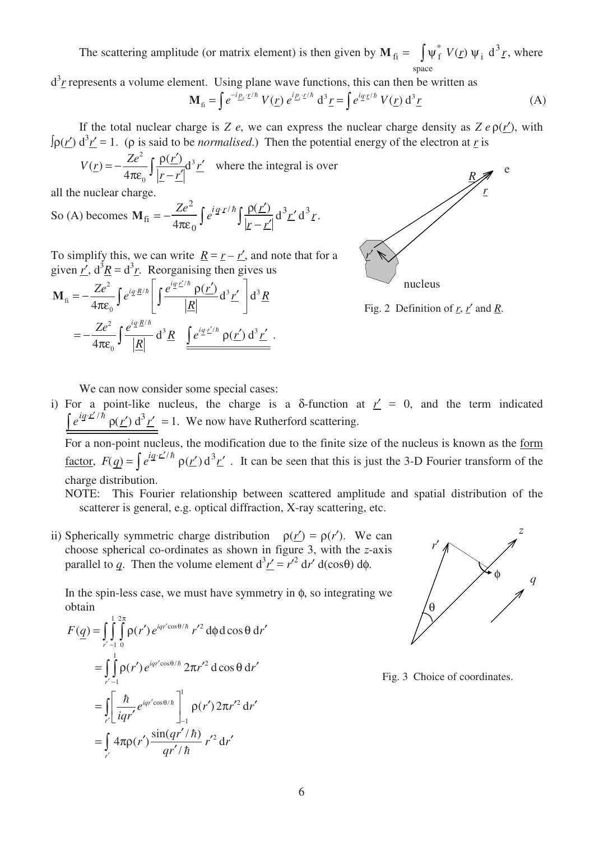The scattering amplitude (or matrix element) is then given by  $M_{fi} = \int \psi_f^* V(r) \psi_i d^3r$ , where space

 $d^3r$  represents a volume element. Using plane wave functions, this can then be written as

$$
\mathbf{M}_{\text{fi}} = \int e^{-i\underline{p}_{\text{f}} \cdot \underline{r}/\hbar} V(\underline{r}) e^{i\underline{p}_{\text{i}} \cdot \underline{r}/\hbar} d^3 \underline{r} = \int e^{i\underline{q} \cdot \underline{r}/\hbar} V(\underline{r}) d^3 \underline{r}
$$
 (A)

If the total nuclear charge is *Z e*, we can express the nuclear charge density as  $Z \, e \, \rho(r')$ , with  $\int \rho(\underline{r}') d^3 \underline{r}' = 1$ . ( $\rho$  is said to be *normalised*.) Then the potential energy of the electron at <u>*r*</u> is

$$
V(\underline{r}) = -\frac{Ze^2}{4\pi\varepsilon_0} \int \frac{\rho(\underline{r}')}{|\underline{r} - \underline{r}'|} d^3 \underline{r}'
$$
 where the integral is over

all the nuclear charge.

So (A) becomes 
$$
\mathbf{M}_{\text{fi}} = -\frac{Ze^2}{4\pi\epsilon_0} \int e^{i\vec{q}\cdot\vec{r}/\hbar} \int \frac{\rho(\vec{r})}{|\vec{r}-\vec{r}'|} d^3\vec{r}' d^3\vec{r}
$$
.

To simplify this, we can write  $\underline{R} = \underline{r} - \underline{r'}$ , and note that for a given  $r'$ ,  $d^3 \underline{R} = d^3 \underline{r}$ . Reorganising then gives us

$$
\mathbf{M}_{\text{fi}} = -\frac{Ze^2}{4\pi\epsilon_0} \int e^{iq \cdot \underline{R}/\hbar} \left[ \int \frac{e^{iq \cdot \underline{r}/\hbar} \rho(\underline{r}')}{|\underline{R}|} d^3 \underline{r}' \right] d^3 \underline{R}
$$
  
= 
$$
-\frac{Ze^2}{4\pi\epsilon_0} \int \frac{e^{iq \cdot \underline{R}/\hbar}}{|\underline{R}|} d^3 \underline{R} \underbrace{\int e^{iq \cdot \underline{r}/\hbar} \rho(\underline{r}') d^3 \underline{r}'}_{\underline{R}}.
$$



Fig. 2 Definition of  $r, r'$  and  $R$ .

We can now consider some special cases:

i) For a point-like nucleus, the charge is a  $\delta$ -function at  $r' = 0$ , and the term indicated  $\overline{r}$  $\int e^{i q \cdot \vec{r}/\hbar} \rho(\vec{r}) d^3 \vec{r}' = 1$ . We now have Rutherford scattering.

 For a non-point nucleus, the modification due to the finite size of the nucleus is known as the form factor,  $F(q) = \int e^{iq \cdot r'/\hbar} \rho(r') d^3r'$ . It can be seen that this is just the 3-D Fourier transform of the charge distribution.

NOTE: This Fourier relationship between scattered amplitude and spatial distribution of the scatterer is general, e.g. optical diffraction, X-ray scattering, etc.

ii) Spherically symmetric charge distribution  $\rho(r') = \rho(r')$ . We can choose spherical co-ordinates as shown in figure 3, with the *z*-axis parallel to *q*. Then the volume element  $d^3 \underline{r'} = r'^2 dr' d(\cos\theta) d\phi$ .

In the spin-less case, we must have symmetry in  $\phi$ , so integrating we obtain

$$
F(\underline{q}) = \int_{r'-1}^{1} \int_{0}^{2\pi} \rho(r') e^{iqr' \cos\theta/\hbar} r'^2 d\phi d\cos\theta dr'
$$
  
\n
$$
= \int_{r'-1}^{1} \int_{0}^{1} \rho(r') e^{iqr' \cos\theta/\hbar} 2\pi r'^2 d\cos\theta dr'
$$
  
\n
$$
= \int_{r'}^{1} \left[ \frac{\hbar}{iqr'} e^{iqr' \cos\theta/\hbar} \right]_{-1}^{1} \rho(r') 2\pi r'^2 dr'
$$
  
\n
$$
= \int_{r'} 4\pi \rho(r') \frac{\sin(qr'/\hbar)}{qr'/\hbar} r'^2 dr'
$$



Fig. 3 Choice of coordinates.